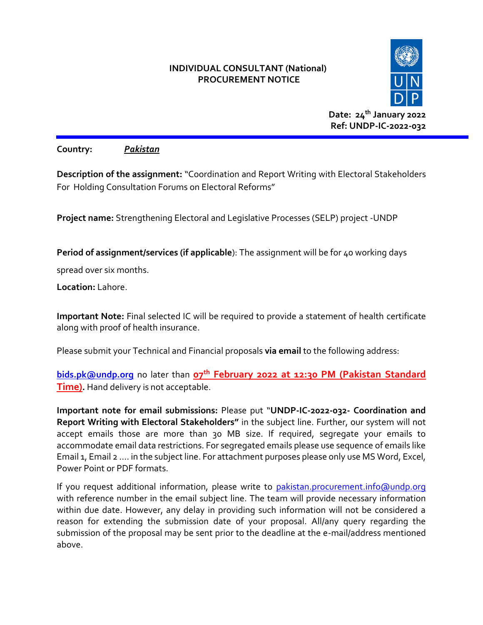#### **INDIVIDUAL CONSULTANT (National) PROCUREMENT NOTICE**



**Date: 24th January 2022 Ref: UNDP-IC-2022-032**

**Country:** *Pakistan*

**Description of the assignment:** "Coordination and Report Writing with Electoral Stakeholders For Holding Consultation Forums on Electoral Reforms"

**Project name:** Strengthening Electoral and Legislative Processes (SELP) project -UNDP

**Period of assignment/services (if applicable**): The assignment will be for 40 working days

spread over six months.

**Location:** Lahore.

**Important Note:** Final selected IC will be required to provide a statement of health certificate along with proof of health insurance.

Please submit your Technical and Financial proposals **via email** to the following address:

**[bids.pk@undp.org](mailto:bids.pk@undp.org)** no later than **07th February 2022 at 12:30 PM (Pakistan Standard Time).** Hand delivery is not acceptable.

**Important note for email submissions:** Please put "**UNDP-IC-2022-032- Coordination and Report Writing with Electoral Stakeholders"** in the subject line. Further, our system will not accept emails those are more than 30 MB size. If required, segregate your emails to accommodate email data restrictions. For segregated emails please use sequence of emails like Email 1, Email 2 .... in the subject line. For attachment purposes please only use MS Word, Excel, Power Point or PDF formats.

If you request additional information, please write to [pakistan.procurement.info@undp.org](mailto:pakistan.procurement.info@undp.org) with reference number in the email subject line. The team will provide necessary information within due date. However, any delay in providing such information will not be considered a reason for extending the submission date of your proposal. All/any query regarding the submission of the proposal may be sent prior to the deadline at the e-mail/address mentioned above.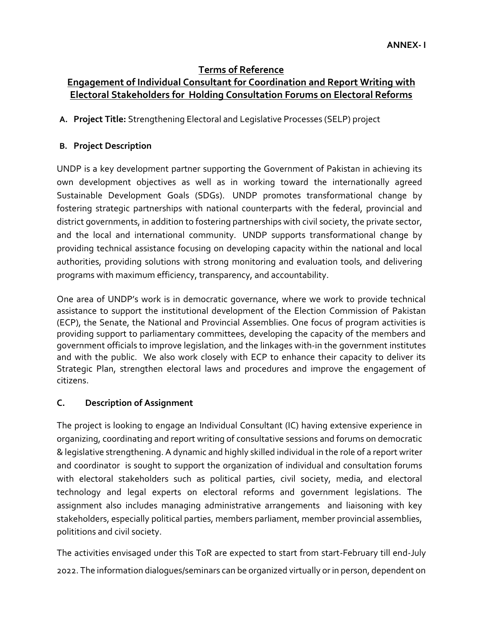## **Terms of Reference**

# **Engagement of Individual Consultant for Coordination and Report Writing with Electoral Stakeholders for Holding Consultation Forums on Electoral Reforms**

**A. Project Title:** Strengthening Electoral and Legislative Processes (SELP) project

### **B. Project Description**

UNDP is a key development partner supporting the Government of Pakistan in achieving its own development objectives as well as in working toward the internationally agreed Sustainable Development Goals (SDGs). UNDP promotes transformational change by fostering strategic partnerships with national counterparts with the federal, provincial and district governments, in addition to fostering partnerships with civil society, the private sector, and the local and international community. UNDP supports transformational change by providing technical assistance focusing on developing capacity within the national and local authorities, providing solutions with strong monitoring and evaluation tools, and delivering programs with maximum efficiency, transparency, and accountability.

One area of UNDP's work is in democratic governance, where we work to provide technical assistance to support the institutional development of the Election Commission of Pakistan (ECP), the Senate, the National and Provincial Assemblies. One focus of program activities is providing support to parliamentary committees, developing the capacity of the members and government officials to improve legislation, and the linkages with-in the government institutes and with the public. We also work closely with ECP to enhance their capacity to deliver its Strategic Plan, strengthen electoral laws and procedures and improve the engagement of citizens.

### **C. Description of Assignment**

The project is looking to engage an Individual Consultant (IC) having extensive experience in organizing, coordinating and report writing of consultative sessions and forums on democratic & legislative strengthening. A dynamic and highly skilled individual in the role of a report writer and coordinator is sought to support the organization of individual and consultation forums with electoral stakeholders such as political parties, civil society, media, and electoral technology and legal experts on electoral reforms and government legislations. The assignment also includes managing administrative arrangements and liaisoning with key stakeholders, especially political parties, members parliament, member provincial assemblies, polititions and civil society.

The activities envisaged under this ToR are expected to start from start-February till end-July 2022. The information dialogues/seminars can be organized virtually or in person, dependent on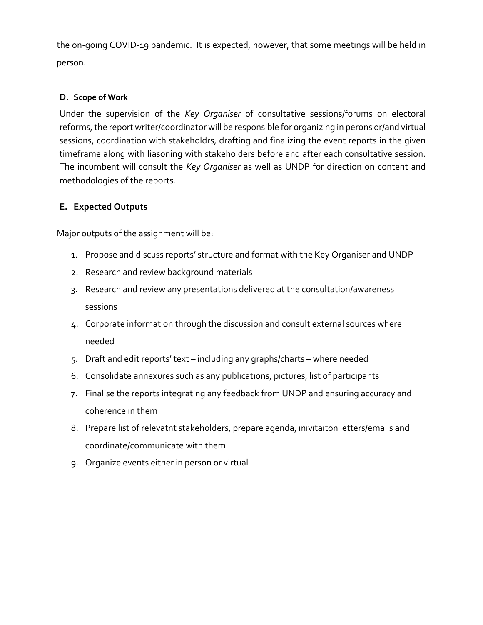the on-going COVID-19 pandemic. It is expected, however, that some meetings will be held in person.

#### **D. Scope of Work**

Under the supervision of the *Key Organiser* of consultative sessions/forums on electoral reforms, the report writer/coordinator will be responsible for organizing in perons or/and virtual sessions, coordination with stakeholdrs, drafting and finalizing the event reports in the given timeframe along with liasoning with stakeholders before and after each consultative session. The incumbent will consult the *Key Organiser* as well as UNDP for direction on content and methodologies of the reports.

### **E. Expected Outputs**

Major outputs of the assignment will be:

- 1. Propose and discuss reports' structure and format with the Key Organiser and UNDP
- 2. Research and review background materials
- 3. Research and review any presentations delivered at the consultation/awareness sessions
- 4. Corporate information through the discussion and consult external sources where needed
- 5. Draft and edit reports' text including any graphs/charts where needed
- 6. Consolidate annexures such as any publications, pictures, list of participants
- 7. Finalise the reports integrating any feedback from UNDP and ensuring accuracy and coherence in them
- 8. Prepare list of relevatnt stakeholders, prepare agenda, inivitaiton letters/emails and coordinate/communicate with them
- 9. Organize events either in person or virtual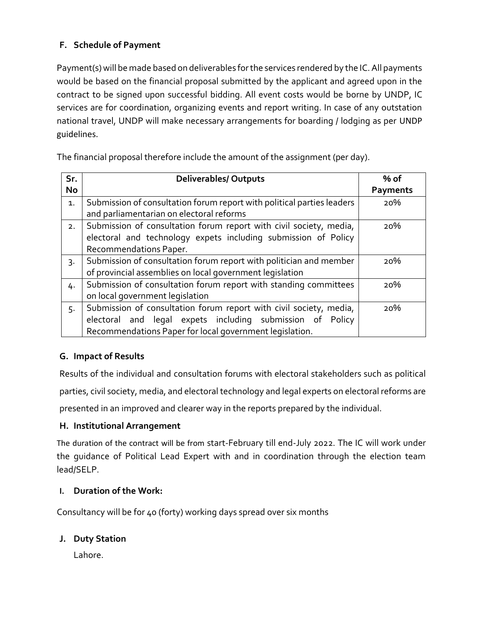### **F. Schedule of Payment**

Payment(s) will be made based on deliverables for the services rendered by the IC. All payments would be based on the financial proposal submitted by the applicant and agreed upon in the contract to be signed upon successful bidding. All event costs would be borne by UNDP, IC services are for coordination, organizing events and report writing. In case of any outstation national travel, UNDP will make necessary arrangements for boarding / lodging as per UNDP guidelines.

The financial proposal therefore include the amount of the assignment (per day).

| Sr.              | <b>Deliverables/ Outputs</b>                                           | % of            |
|------------------|------------------------------------------------------------------------|-----------------|
| <b>No</b>        |                                                                        | <b>Payments</b> |
| 1.               | Submission of consultation forum report with political parties leaders | 20%             |
|                  | and parliamentarian on electoral reforms                               |                 |
| 2.               | Submission of consultation forum report with civil society, media,     | 20%             |
|                  | electoral and technology expets including submission of Policy         |                 |
|                  | Recommendations Paper.                                                 |                 |
| $\overline{3}$ . | Submission of consultation forum report with politician and member     | 20%             |
|                  | of provincial assemblies on local government legislation               |                 |
| 4.               | Submission of consultation forum report with standing committees       | 20%             |
|                  | on local government legislation                                        |                 |
| 5.               | Submission of consultation forum report with civil society, media,     | 20%             |
|                  | electoral and legal expets including submission of Policy              |                 |
|                  | Recommendations Paper for local government legislation.                |                 |

### **G. Impact of Results**

Results of the individual and consultation forums with electoral stakeholders such as political parties, civil society, media, and electoral technology and legal experts on electoral reforms are presented in an improved and clearer way in the reports prepared by the individual.

### **H. Institutional Arrangement**

The duration of the contract will be from start-February till end-July 2022. The IC will work under the guidance of Political Lead Expert with and in coordination through the election team lead/SELP.

### **I. Duration of the Work:**

Consultancy will be for 40 (forty) working days spread over six months

### **J. Duty Station**

Lahore.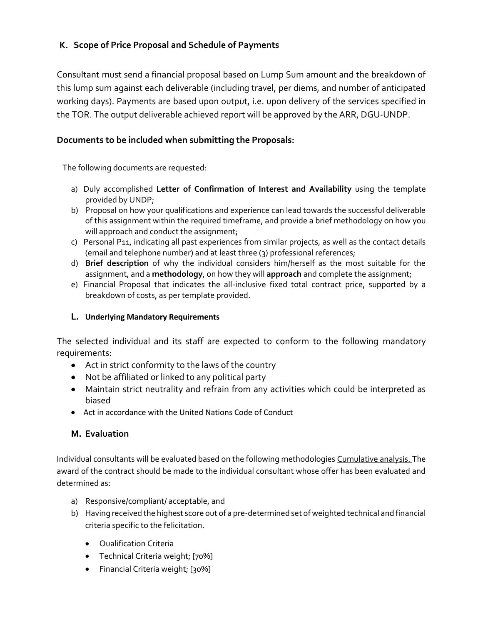### **K. Scope of Price Proposal and Schedule of Payments**

Consultant must send a financial proposal based on Lump Sum amount and the breakdown of this lump sum against each deliverable (including travel, per diems, and number of anticipated working days). Payments are based upon output, i.e. upon delivery of the services specified in the TOR. The output deliverable achieved report will be approved by the ARR, DGU-UNDP.

#### **Documents to be included when submitting the Proposals:**

The following documents are requested:

- a) Duly accomplished **Letter of Confirmation of Interest and Availability** using the template provided by UNDP;
- b) Proposal on how your qualifications and experience can lead towards the successful deliverable of this assignment within the required timeframe, and provide a brief methodology on how you will approach and conduct the assignment;
- c) Personal P11, indicating all past experiences from similar projects, as well as the contact details (email and telephone number) and at least three (3) professional references;
- d) **Brief description** of why the individual considers him/herself as the most suitable for the assignment, and a **methodology**, on how they will **approach** and complete the assignment;
- e) Financial Proposal that indicates the all-inclusive fixed total contract price, supported by a breakdown of costs, as per template provided.

#### **L. Underlying Mandatory Requirements**

The selected individual and its staff are expected to conform to the following mandatory requirements:

- Act in strict conformity to the laws of the country
- Not be affiliated or linked to any political party
- Maintain strict neutrality and refrain from any activities which could be interpreted as biased
- Act in accordance with the United Nations Code of Conduct

#### **M. Evaluation**

Individual consultants will be evaluated based on the following methodologies Cumulative analysis. The award of the contract should be made to the individual consultant whose offer has been evaluated and determined as:

- a) Responsive/compliant/ acceptable, and
- b) Having received the highest score out of a pre-determined set of weighted technical and financial criteria specific to the felicitation.
	- Qualification Criteria
	- Technical Criteria weight; [70%]
	- Financial Criteria weight; [30%]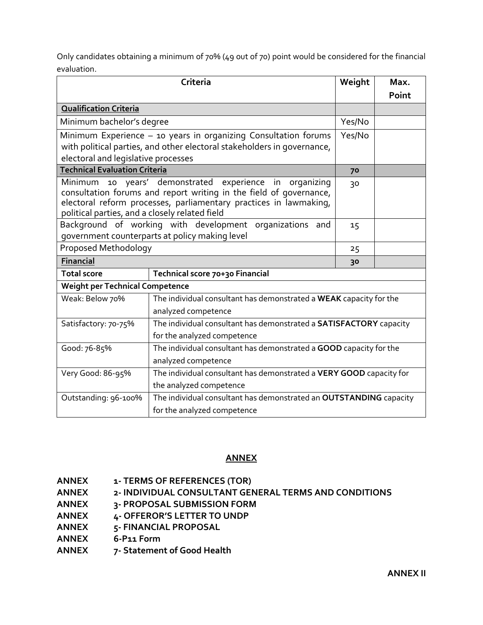Only candidates obtaining a minimum of 70% (49 out of 70) point would be considered for the financial evaluation.

|                                                                                                                     | Criteria                                                            | Weight | Max.  |  |
|---------------------------------------------------------------------------------------------------------------------|---------------------------------------------------------------------|--------|-------|--|
|                                                                                                                     |                                                                     |        | Point |  |
| <b>Qualification Criteria</b>                                                                                       |                                                                     |        |       |  |
| Minimum bachelor's degree                                                                                           |                                                                     |        |       |  |
| Minimum Experience - 10 years in organizing Consultation forums                                                     |                                                                     |        |       |  |
| with political parties, and other electoral stakeholders in governance,                                             |                                                                     |        |       |  |
| electoral and legislative processes                                                                                 |                                                                     |        |       |  |
| <b>Technical Evaluation Criteria</b>                                                                                |                                                                     |        |       |  |
| Minimum 10 years' demonstrated                                                                                      | experience in organizing                                            | 30     |       |  |
| consultation forums and report writing in the field of governance,                                                  |                                                                     |        |       |  |
| electoral reform processes, parliamentary practices in lawmaking,<br>political parties, and a closely related field |                                                                     |        |       |  |
| Background of working with development organizations and                                                            |                                                                     |        |       |  |
| government counterparts at policy making level                                                                      | 15                                                                  |        |       |  |
| Proposed Methodology                                                                                                |                                                                     |        |       |  |
| <b>Financial</b>                                                                                                    |                                                                     | 30     |       |  |
| <b>Total score</b>                                                                                                  | Technical score 70+30 Financial                                     |        |       |  |
| <b>Weight per Technical Competence</b>                                                                              |                                                                     |        |       |  |
| Weak: Below 70%                                                                                                     | The individual consultant has demonstrated a WEAK capacity for the  |        |       |  |
|                                                                                                                     | analyzed competence                                                 |        |       |  |
| Satisfactory: 70-75%                                                                                                | The individual consultant has demonstrated a SATISFACTORY capacity  |        |       |  |
|                                                                                                                     | for the analyzed competence                                         |        |       |  |
| Good: 76-85%                                                                                                        | The individual consultant has demonstrated a GOOD capacity for the  |        |       |  |
|                                                                                                                     | analyzed competence                                                 |        |       |  |
| Very Good: 86-95%                                                                                                   | The individual consultant has demonstrated a VERY GOOD capacity for |        |       |  |
|                                                                                                                     | the analyzed competence                                             |        |       |  |
| The individual consultant has demonstrated an OUTSTANDING capacity<br>Outstanding: 96-100%                          |                                                                     |        |       |  |
|                                                                                                                     | for the analyzed competence                                         |        |       |  |

#### **ANNEX**

- **ANNEX 1- TERMS OF REFERENCES (TOR)**
- **ANNEX 2- INDIVIDUAL CONSULTANT GENERAL TERMS AND CONDITIONS**
- **ANNEX 3- PROPOSAL SUBMISSION FORM**
- **ANNEX 4- OFFEROR'S LETTER TO UNDP**
- **ANNEX 5- FINANCIAL PROPOSAL**
- **ANNEX 6-P11 Form**
- **ANNEX 7- Statement of Good Health**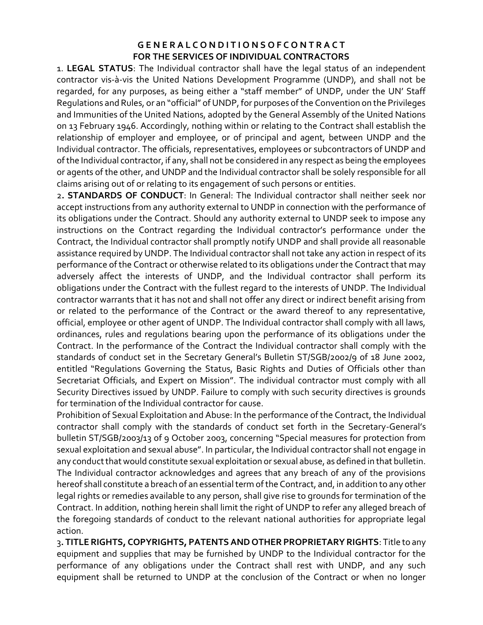### **G E N E R A L C O N D I T I O N S O F C O N T R A C T FOR THE SERVICES OF INDIVIDUAL CONTRACTORS**

1. **LEGAL STATUS**: The Individual contractor shall have the legal status of an independent contractor vis-à-vis the United Nations Development Programme (UNDP), and shall not be regarded, for any purposes, as being either a "staff member" of UNDP, under the UN' Staff Regulations and Rules, or an "official" of UNDP, for purposes of the Convention on the Privileges and Immunities of the United Nations, adopted by the General Assembly of the United Nations on 13 February 1946. Accordingly, nothing within or relating to the Contract shall establish the relationship of employer and employee, or of principal and agent, between UNDP and the Individual contractor. The officials, representatives, employees or subcontractors of UNDP and of the Individual contractor, if any, shall not be considered in any respect as being the employees or agents of the other, and UNDP and the Individual contractor shall be solely responsible for all claims arising out of or relating to its engagement of such persons or entities.

2**. STANDARDS OF CONDUCT**: In General: The Individual contractor shall neither seek nor accept instructions from any authority external to UNDP in connection with the performance of its obligations under the Contract. Should any authority external to UNDP seek to impose any instructions on the Contract regarding the Individual contractor's performance under the Contract, the Individual contractor shall promptly notify UNDP and shall provide all reasonable assistance required by UNDP. The Individual contractor shall not take any action in respect of its performance of the Contract or otherwise related to its obligations under the Contract that may adversely affect the interests of UNDP, and the Individual contractor shall perform its obligations under the Contract with the fullest regard to the interests of UNDP. The Individual contractor warrants that it has not and shall not offer any direct or indirect benefit arising from or related to the performance of the Contract or the award thereof to any representative, official, employee or other agent of UNDP. The Individual contractor shall comply with all laws, ordinances, rules and regulations bearing upon the performance of its obligations under the Contract. In the performance of the Contract the Individual contractor shall comply with the standards of conduct set in the Secretary General's Bulletin ST/SGB/2002/9 of 18 June 2002, entitled "Regulations Governing the Status, Basic Rights and Duties of Officials other than Secretariat Officials, and Expert on Mission". The individual contractor must comply with all Security Directives issued by UNDP. Failure to comply with such security directives is grounds for termination of the Individual contractor for cause.

Prohibition of Sexual Exploitation and Abuse: In the performance of the Contract, the Individual contractor shall comply with the standards of conduct set forth in the Secretary-General's bulletin ST/SGB/2003/13 of 9 October 2003, concerning "Special measures for protection from sexual exploitation and sexual abuse". In particular, the Individual contractor shall not engage in any conduct that would constitute sexual exploitation or sexual abuse, as defined in that bulletin. The Individual contractor acknowledges and agrees that any breach of any of the provisions hereof shall constitute a breach of an essential term of the Contract, and, in addition to any other legal rights or remedies available to any person, shall give rise to grounds for termination of the Contract. In addition, nothing herein shall limit the right of UNDP to refer any alleged breach of the foregoing standards of conduct to the relevant national authorities for appropriate legal action.

3**. TITLE RIGHTS, COPYRIGHTS, PATENTS AND OTHER PROPRIETARY RIGHTS**: Title to any equipment and supplies that may be furnished by UNDP to the Individual contractor for the performance of any obligations under the Contract shall rest with UNDP, and any such equipment shall be returned to UNDP at the conclusion of the Contract or when no longer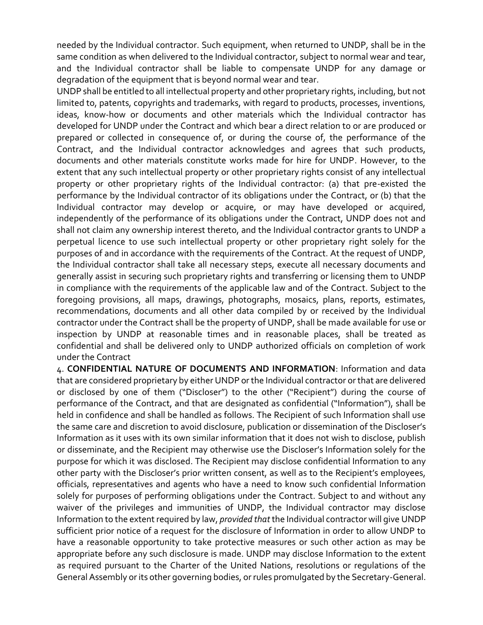needed by the Individual contractor. Such equipment, when returned to UNDP, shall be in the same condition as when delivered to the Individual contractor, subject to normal wear and tear, and the Individual contractor shall be liable to compensate UNDP for any damage or degradation of the equipment that is beyond normal wear and tear.

UNDP shall be entitled to all intellectual property and other proprietary rights, including, but not limited to, patents, copyrights and trademarks, with regard to products, processes, inventions, ideas, know-how or documents and other materials which the Individual contractor has developed for UNDP under the Contract and which bear a direct relation to or are produced or prepared or collected in consequence of, or during the course of, the performance of the Contract, and the Individual contractor acknowledges and agrees that such products, documents and other materials constitute works made for hire for UNDP. However, to the extent that any such intellectual property or other proprietary rights consist of any intellectual property or other proprietary rights of the Individual contractor: (a) that pre-existed the performance by the Individual contractor of its obligations under the Contract, or (b) that the Individual contractor may develop or acquire, or may have developed or acquired, independently of the performance of its obligations under the Contract, UNDP does not and shall not claim any ownership interest thereto, and the Individual contractor grants to UNDP a perpetual licence to use such intellectual property or other proprietary right solely for the purposes of and in accordance with the requirements of the Contract. At the request of UNDP, the Individual contractor shall take all necessary steps, execute all necessary documents and generally assist in securing such proprietary rights and transferring or licensing them to UNDP in compliance with the requirements of the applicable law and of the Contract. Subject to the foregoing provisions, all maps, drawings, photographs, mosaics, plans, reports, estimates, recommendations, documents and all other data compiled by or received by the Individual contractor under the Contract shall be the property of UNDP, shall be made available for use or inspection by UNDP at reasonable times and in reasonable places, shall be treated as confidential and shall be delivered only to UNDP authorized officials on completion of work under the Contract

4. **CONFIDENTIAL NATURE OF DOCUMENTS AND INFORMATION**: Information and data that are considered proprietary by either UNDP or the Individual contractor or that are delivered or disclosed by one of them ("Discloser") to the other ("Recipient") during the course of performance of the Contract, and that are designated as confidential ("Information"), shall be held in confidence and shall be handled as follows. The Recipient of such Information shall use the same care and discretion to avoid disclosure, publication or dissemination of the Discloser's Information as it uses with its own similar information that it does not wish to disclose, publish or disseminate, and the Recipient may otherwise use the Discloser's Information solely for the purpose for which it was disclosed. The Recipient may disclose confidential Information to any other party with the Discloser's prior written consent, as well as to the Recipient's employees, officials, representatives and agents who have a need to know such confidential Information solely for purposes of performing obligations under the Contract. Subject to and without any waiver of the privileges and immunities of UNDP, the Individual contractor may disclose Information to the extent required by law, *provided that* the Individual contractor will give UNDP sufficient prior notice of a request for the disclosure of Information in order to allow UNDP to have a reasonable opportunity to take protective measures or such other action as may be appropriate before any such disclosure is made. UNDP may disclose Information to the extent as required pursuant to the Charter of the United Nations, resolutions or regulations of the General Assembly or its other governing bodies, or rules promulgated by the Secretary-General.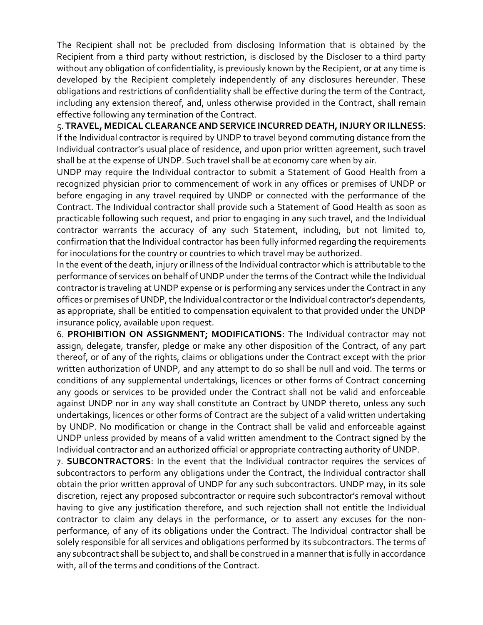The Recipient shall not be precluded from disclosing Information that is obtained by the Recipient from a third party without restriction, is disclosed by the Discloser to a third party without any obligation of confidentiality, is previously known by the Recipient, or at any time is developed by the Recipient completely independently of any disclosures hereunder. These obligations and restrictions of confidentiality shall be effective during the term of the Contract, including any extension thereof, and, unless otherwise provided in the Contract, shall remain effective following any termination of the Contract.

5. **TRAVEL, MEDICAL CLEARANCE AND SERVICE INCURRED DEATH, INJURY OR ILLNESS**: If the Individual contractor is required by UNDP to travel beyond commuting distance from the Individual contractor's usual place of residence, and upon prior written agreement, such travel shall be at the expense of UNDP. Such travel shall be at economy care when by air.

UNDP may require the Individual contractor to submit a Statement of Good Health from a recognized physician prior to commencement of work in any offices or premises of UNDP or before engaging in any travel required by UNDP or connected with the performance of the Contract. The Individual contractor shall provide such a Statement of Good Health as soon as practicable following such request, and prior to engaging in any such travel, and the Individual contractor warrants the accuracy of any such Statement, including, but not limited to, confirmation that the Individual contractor has been fully informed regarding the requirements for inoculations for the country or countries to which travel may be authorized.

In the event of the death, injury or illness of the Individual contractor which is attributable to the performance of services on behalf of UNDP under the terms of the Contract while the Individual contractor is traveling at UNDP expense or is performing any services under the Contract in any offices or premises of UNDP, the Individual contractor or the Individual contractor's dependants, as appropriate, shall be entitled to compensation equivalent to that provided under the UNDP insurance policy, available upon request.

6. **PROHIBITION ON ASSIGNMENT; MODIFICATIONS**: The Individual contractor may not assign, delegate, transfer, pledge or make any other disposition of the Contract, of any part thereof, or of any of the rights, claims or obligations under the Contract except with the prior written authorization of UNDP, and any attempt to do so shall be null and void. The terms or conditions of any supplemental undertakings, licences or other forms of Contract concerning any goods or services to be provided under the Contract shall not be valid and enforceable against UNDP nor in any way shall constitute an Contract by UNDP thereto, unless any such undertakings, licences or other forms of Contract are the subject of a valid written undertaking by UNDP. No modification or change in the Contract shall be valid and enforceable against UNDP unless provided by means of a valid written amendment to the Contract signed by the Individual contractor and an authorized official or appropriate contracting authority of UNDP.

7. **SUBCONTRACTORS**: In the event that the Individual contractor requires the services of subcontractors to perform any obligations under the Contract, the Individual contractor shall obtain the prior written approval of UNDP for any such subcontractors. UNDP may, in its sole discretion, reject any proposed subcontractor or require such subcontractor's removal without having to give any justification therefore, and such rejection shall not entitle the Individual contractor to claim any delays in the performance, or to assert any excuses for the nonperformance, of any of its obligations under the Contract. The Individual contractor shall be solely responsible for all services and obligations performed by its subcontractors. The terms of any subcontract shall be subject to, and shall be construed in a manner that is fully in accordance with, all of the terms and conditions of the Contract.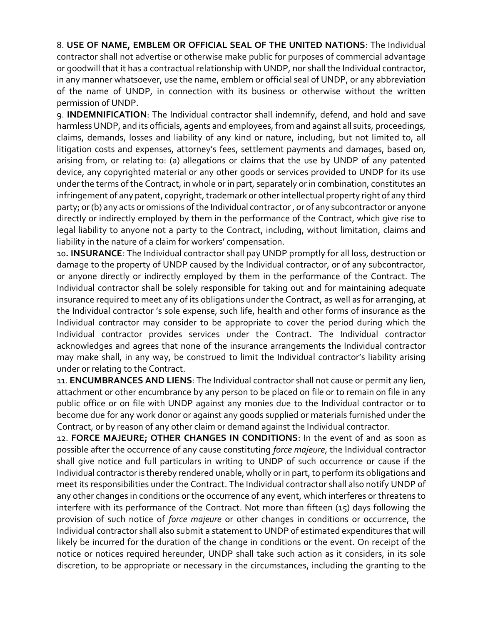8. **USE OF NAME, EMBLEM OR OFFICIAL SEAL OF THE UNITED NATIONS**: The Individual contractor shall not advertise or otherwise make public for purposes of commercial advantage or goodwill that it has a contractual relationship with UNDP, nor shall the Individual contractor, in any manner whatsoever, use the name, emblem or official seal of UNDP, or any abbreviation of the name of UNDP, in connection with its business or otherwise without the written permission of UNDP.

9. **INDEMNIFICATION**: The Individual contractor shall indemnify, defend, and hold and save harmless UNDP, and its officials, agents and employees, from and against all suits, proceedings, claims, demands, losses and liability of any kind or nature, including, but not limited to, all litigation costs and expenses, attorney's fees, settlement payments and damages, based on, arising from, or relating to: (a) allegations or claims that the use by UNDP of any patented device, any copyrighted material or any other goods or services provided to UNDP for its use under the terms of the Contract, in whole or in part, separately or in combination, constitutes an infringement of any patent, copyright, trademark or other intellectual property right of any third party; or (b) any acts or omissions of the Individual contractor , or of any subcontractor or anyone directly or indirectly employed by them in the performance of the Contract, which give rise to legal liability to anyone not a party to the Contract, including, without limitation, claims and liability in the nature of a claim for workers' compensation.

10**. INSURANCE**: The Individual contractor shall pay UNDP promptly for all loss, destruction or damage to the property of UNDP caused by the Individual contractor, or of any subcontractor, or anyone directly or indirectly employed by them in the performance of the Contract. The Individual contractor shall be solely responsible for taking out and for maintaining adequate insurance required to meet any of its obligations under the Contract, as well as for arranging, at the Individual contractor 's sole expense, such life, health and other forms of insurance as the Individual contractor may consider to be appropriate to cover the period during which the Individual contractor provides services under the Contract. The Individual contractor acknowledges and agrees that none of the insurance arrangements the Individual contractor may make shall, in any way, be construed to limit the Individual contractor's liability arising under or relating to the Contract.

11. **ENCUMBRANCES AND LIENS**: The Individual contractor shall not cause or permit any lien, attachment or other encumbrance by any person to be placed on file or to remain on file in any public office or on file with UNDP against any monies due to the Individual contractor or to become due for any work donor or against any goods supplied or materials furnished under the Contract, or by reason of any other claim or demand against the Individual contractor.

12. **FORCE MAJEURE; OTHER CHANGES IN CONDITIONS**: In the event of and as soon as possible after the occurrence of any cause constituting *force majeure*, the Individual contractor shall give notice and full particulars in writing to UNDP of such occurrence or cause if the Individual contractor is thereby rendered unable, wholly or in part, to perform its obligations and meet its responsibilities under the Contract. The Individual contractor shall also notify UNDP of any other changes in conditions or the occurrence of any event, which interferes or threatens to interfere with its performance of the Contract. Not more than fifteen (15) days following the provision of such notice of *force majeure* or other changes in conditions or occurrence, the Individual contractor shall also submit a statement to UNDP of estimated expenditures that will likely be incurred for the duration of the change in conditions or the event. On receipt of the notice or notices required hereunder, UNDP shall take such action as it considers, in its sole discretion, to be appropriate or necessary in the circumstances, including the granting to the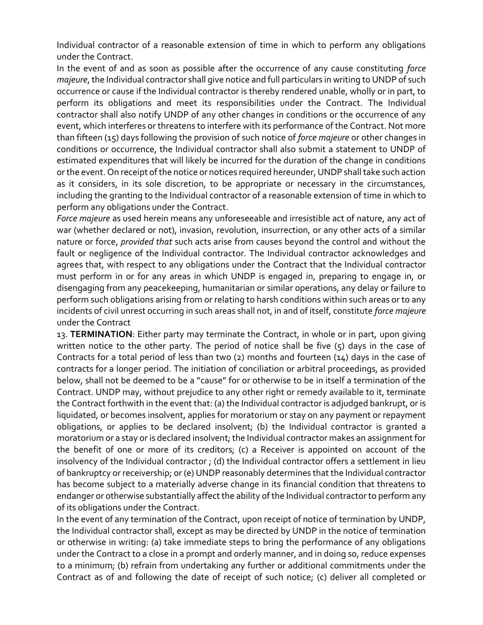Individual contractor of a reasonable extension of time in which to perform any obligations under the Contract.

In the event of and as soon as possible after the occurrence of any cause constituting *force majeure*, the Individual contractor shall give notice and full particulars in writing to UNDP of such occurrence or cause if the Individual contractor is thereby rendered unable, wholly or in part, to perform its obligations and meet its responsibilities under the Contract. The Individual contractor shall also notify UNDP of any other changes in conditions or the occurrence of any event, which interferes or threatens to interfere with its performance of the Contract. Not more than fifteen (15) days following the provision of such notice of *force majeure* or other changes in conditions or occurrence, the Individual contractor shall also submit a statement to UNDP of estimated expenditures that will likely be incurred for the duration of the change in conditions or the event. On receipt of the notice or notices required hereunder, UNDP shall take such action as it considers, in its sole discretion, to be appropriate or necessary in the circumstances, including the granting to the Individual contractor of a reasonable extension of time in which to perform any obligations under the Contract.

*Force majeure* as used herein means any unforeseeable and irresistible act of nature, any act of war (whether declared or not), invasion, revolution, insurrection, or any other acts of a similar nature or force, *provided that* such acts arise from causes beyond the control and without the fault or negligence of the Individual contractor. The Individual contractor acknowledges and agrees that, with respect to any obligations under the Contract that the Individual contractor must perform in or for any areas in which UNDP is engaged in, preparing to engage in, or disengaging from any peacekeeping, humanitarian or similar operations, any delay or failure to perform such obligations arising from or relating to harsh conditions within such areas or to any incidents of civil unrest occurring in such areas shall not, in and of itself, constitute *force majeure*  under the Contract

13. **TERMINATION**: Either party may terminate the Contract, in whole or in part, upon giving written notice to the other party. The period of notice shall be five  $(5)$  days in the case of Contracts for a total period of less than two (2) months and fourteen (14) days in the case of contracts for a longer period. The initiation of conciliation or arbitral proceedings, as provided below, shall not be deemed to be a "cause" for or otherwise to be in itself a termination of the Contract. UNDP may, without prejudice to any other right or remedy available to it, terminate the Contract forthwith in the event that: (a) the Individual contractor is adjudged bankrupt, or is liquidated, or becomes insolvent, applies for moratorium or stay on any payment or repayment obligations, or applies to be declared insolvent; (b) the Individual contractor is granted a moratorium or a stay or is declared insolvent; the Individual contractor makes an assignment for the benefit of one or more of its creditors; (c) a Receiver is appointed on account of the insolvency of the Individual contractor ; (d) the Individual contractor offers a settlement in lieu of bankruptcy or receivership; or (e) UNDP reasonably determines that the Individual contractor has become subject to a materially adverse change in its financial condition that threatens to endanger or otherwise substantially affect the ability of the Individual contractor to perform any of its obligations under the Contract.

In the event of any termination of the Contract, upon receipt of notice of termination by UNDP, the Individual contractor shall, except as may be directed by UNDP in the notice of termination or otherwise in writing: (a) take immediate steps to bring the performance of any obligations under the Contract to a close in a prompt and orderly manner, and in doing so, reduce expenses to a minimum; (b) refrain from undertaking any further or additional commitments under the Contract as of and following the date of receipt of such notice; (c) deliver all completed or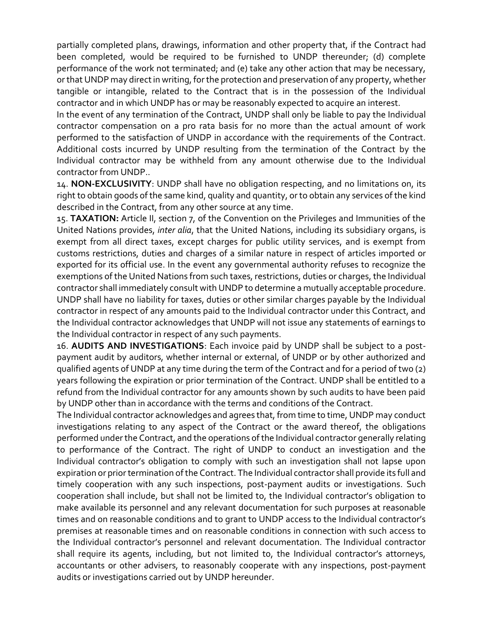partially completed plans, drawings, information and other property that, if the Contract had been completed, would be required to be furnished to UNDP thereunder; (d) complete performance of the work not terminated; and (e) take any other action that may be necessary, or that UNDP may direct in writing, for the protection and preservation of any property, whether tangible or intangible, related to the Contract that is in the possession of the Individual contractor and in which UNDP has or may be reasonably expected to acquire an interest.

In the event of any termination of the Contract, UNDP shall only be liable to pay the Individual contractor compensation on a pro rata basis for no more than the actual amount of work performed to the satisfaction of UNDP in accordance with the requirements of the Contract. Additional costs incurred by UNDP resulting from the termination of the Contract by the Individual contractor may be withheld from any amount otherwise due to the Individual contractor from UNDP..

14. **NON-EXCLUSIVITY**: UNDP shall have no obligation respecting, and no limitations on, its right to obtain goods of the same kind, quality and quantity, or to obtain any services of the kind described in the Contract, from any other source at any time.

15. **TAXATION:** Article II, section 7, of the Convention on the Privileges and Immunities of the United Nations provides, *inter alia*, that the United Nations, including its subsidiary organs, is exempt from all direct taxes, except charges for public utility services, and is exempt from customs restrictions, duties and charges of a similar nature in respect of articles imported or exported for its official use. In the event any governmental authority refuses to recognize the exemptions of the United Nations from such taxes, restrictions, duties or charges, the Individual contractor shall immediately consult with UNDP to determine a mutually acceptable procedure. UNDP shall have no liability for taxes, duties or other similar charges payable by the Individual contractor in respect of any amounts paid to the Individual contractor under this Contract, and the Individual contractor acknowledges that UNDP will not issue any statements of earnings to the Individual contractor in respect of any such payments.

16. **AUDITS AND INVESTIGATIONS**: Each invoice paid by UNDP shall be subject to a postpayment audit by auditors, whether internal or external, of UNDP or by other authorized and qualified agents of UNDP at any time during the term of the Contract and for a period of two (2) years following the expiration or prior termination of the Contract. UNDP shall be entitled to a refund from the Individual contractor for any amounts shown by such audits to have been paid by UNDP other than in accordance with the terms and conditions of the Contract.

The Individual contractor acknowledges and agrees that, from time to time, UNDP may conduct investigations relating to any aspect of the Contract or the award thereof, the obligations performed under the Contract, and the operations of the Individual contractor generally relating to performance of the Contract. The right of UNDP to conduct an investigation and the Individual contractor's obligation to comply with such an investigation shall not lapse upon expiration or prior termination of the Contract. The Individual contractor shall provide its full and timely cooperation with any such inspections, post-payment audits or investigations. Such cooperation shall include, but shall not be limited to, the Individual contractor's obligation to make available its personnel and any relevant documentation for such purposes at reasonable times and on reasonable conditions and to grant to UNDP access to the Individual contractor's premises at reasonable times and on reasonable conditions in connection with such access to the Individual contractor's personnel and relevant documentation. The Individual contractor shall require its agents, including, but not limited to, the Individual contractor's attorneys, accountants or other advisers, to reasonably cooperate with any inspections, post-payment audits or investigations carried out by UNDP hereunder.